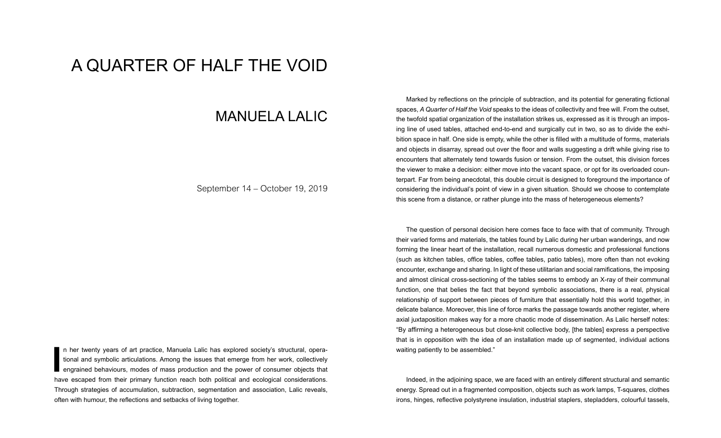## A QUARTER OF HALF THE VOID

## MANUELA LALIC

September 14 – October 19, 2019

In her twenty years of art practice, Manuela Lalic has explored society's structural, operational and symbolic articulations. Among the issues that emerge from her work, collectively engrained behaviours, modes of mass pro n her twenty years of art practice, Manuela Lalic has explored society's structural, operational and symbolic articulations. Among the issues that emerge from her work, collectively engrained behaviours, modes of mass production and the power of consumer objects that Through strategies of accumulation, subtraction, segmentation and association, Lalic reveals, often with humour, the refections and setbacks of living together.

Marked by reflections on the principle of subtraction, and its potential for generating fictional spaces, *A Quarter of Half the Void* speaks to the ideas of collectivity and free will. From the outset, the twofold spatial organization of the installation strikes us, expressed as it is through an imposing line of used tables, attached end-to-end and surgically cut in two, so as to divide the exhibition space in half. One side is empty, while the other is flled with a multitude of forms, materials and objects in disarray, spread out over the foor and walls suggesting a drift while giving rise to encounters that alternately tend towards fusion or tension. From the outset, this division forces the viewer to make a decision: either move into the vacant space, or opt for its overloaded counterpart. Far from being anecdotal, this double circuit is designed to foreground the importance of considering the individual's point of view in a given situation. Should we choose to contemplate this scene from a distance, or rather plunge into the mass of heterogeneous elements?

The question of personal decision here comes face to face with that of community. Through their varied forms and materials, the tables found by Lalic during her urban wanderings, and now forming the linear heart of the installation, recall numerous domestic and professional functions (such as kitchen tables, office tables, coffee tables, patio tables), more often than not evoking encounter, exchange and sharing. In light of these utilitarian and social ramifcations, the imposing and almost clinical cross-sectioning of the tables seems to embody an X-ray of their communal function, one that belies the fact that beyond symbolic associations, there is a real, physical relationship of support between pieces of furniture that essentially hold this world together, in delicate balance. Moreover, this line of force marks the passage towards another register, where axial juxtaposition makes way for a more chaotic mode of dissemination. As Lalic herself notes: "By affrming a heterogeneous but close-knit collective body, [the tables] express a perspective that is in opposition with the idea of an installation made up of segmented, individual actions waiting patiently to be assembled."

Indeed, in the adjoining space, we are faced with an entirely different structural and semantic energy. Spread out in a fragmented composition, objects such as work lamps, T-squares, clothes irons, hinges, refective polystyrene insulation, industrial staplers, stepladders, colourful tassels,